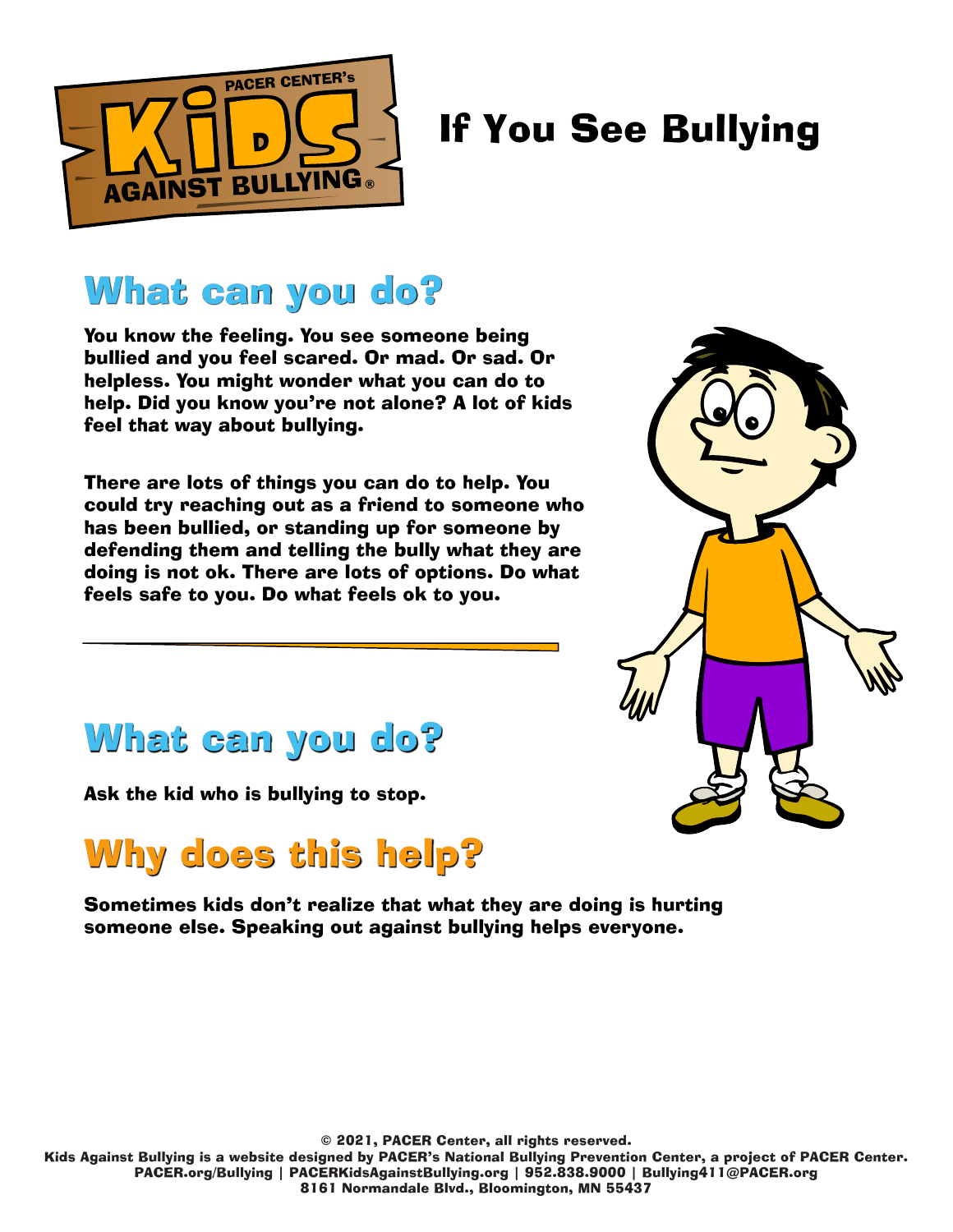

#### What can you do?

You know the feeling. You see someone being bullied and you feel scared. Or mad. Or sad. Or helpless. You might wonder what you can do to help. Did you know you're not alone? A lot of kids feel that way about bullying.

There are lots of things you can do to help. You could try reaching out as a friend to someone who has been bullied, or standing up for someone by defending them and telling the bully what they are doing is not ok. There are lots of options. Do what feels safe to you. Do what feels ok to you.



#### What can you do?

Ask the kid who is bullying to stop.

# Why does this help?

Sometimes kids don't realize that what they are doing is hurting someone else. Speaking out against bullying helps everyone.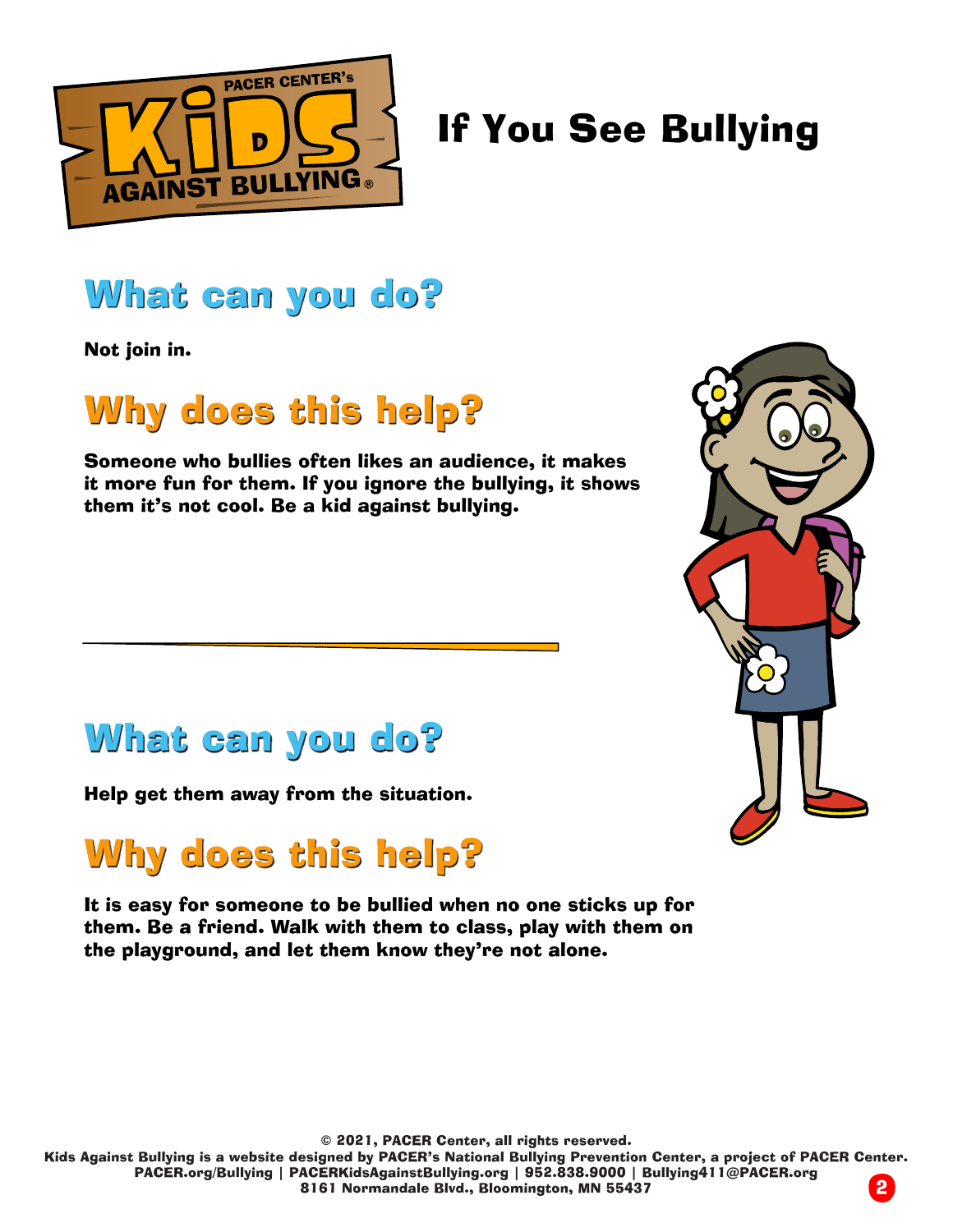

#### What can you do?

Not join in.

# Why does this help?

Someone who bullies often likes an audience, it makes it more fun for them. If you ignore the bullying, it shows them it's not cool. Be a kid against bullying.



Help get them away from the situation.

#### Why does this help?

It is easy for someone to be bullied when no one sticks up for them. Be a friend. Walk with them to class, play with them on the playground, and let them know they're not alone.

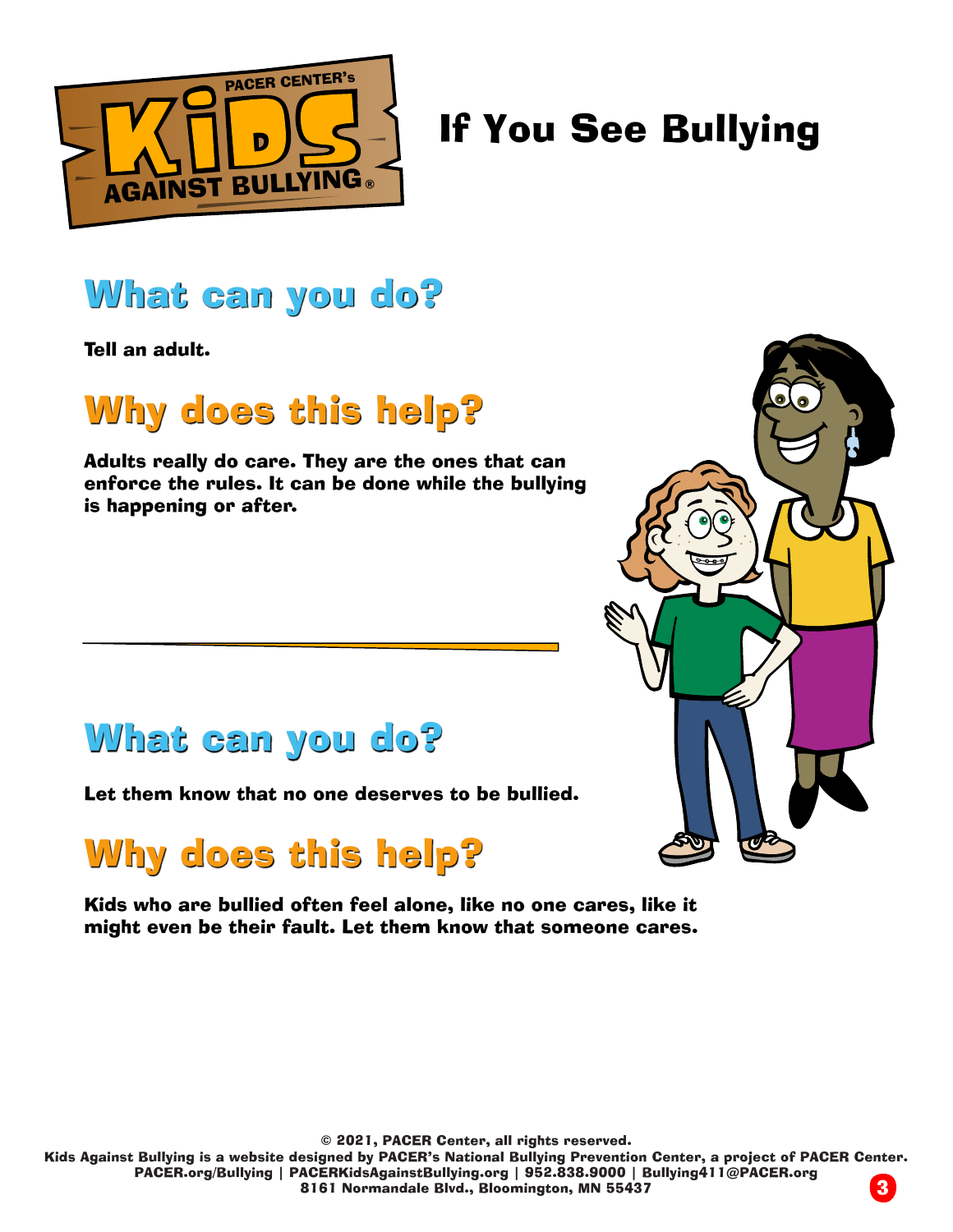

#### What can you do?

Tell an adult.

# Why does this help?

Adults really do care. They are the ones that can enforce the rules. It can be done while the bullying is happening or after.



#### What can you do?

Let them know that no one deserves to be bullied.

# Why does this help?

Kids who are bullied often feel alone, like no one cares, like it might even be their fault. Let them know that someone cares.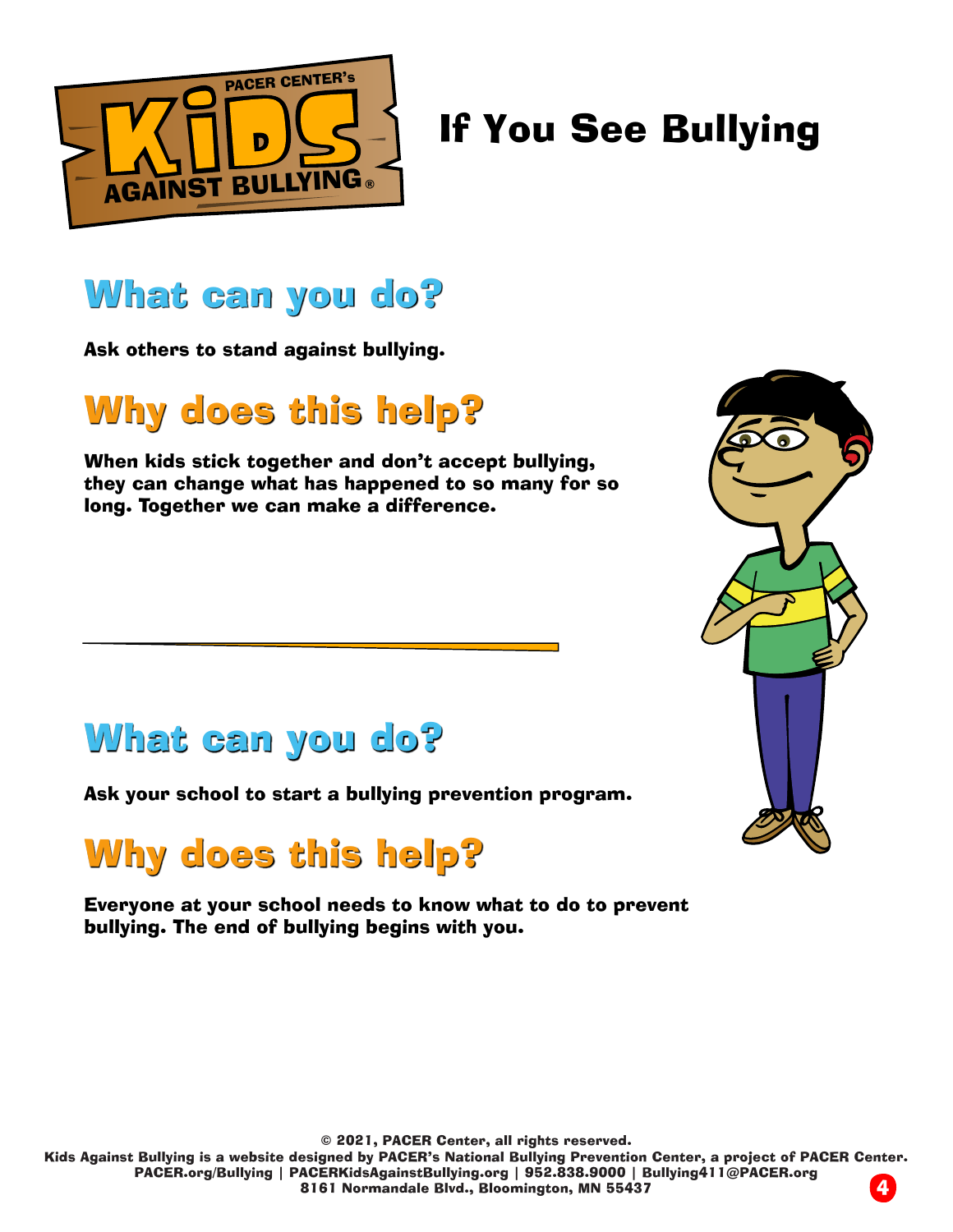

#### What can you do?

Ask others to stand against bullying.

# Why does this help?

When kids stick together and don't accept bullying, they can change what has happened to so many for so long. Together we can make a difference.



#### What can you do?

Ask your school to start a bullying prevention program.

# Why does this help?

Everyone at your school needs to know what to do to prevent bullying. The end of bullying begins with you.